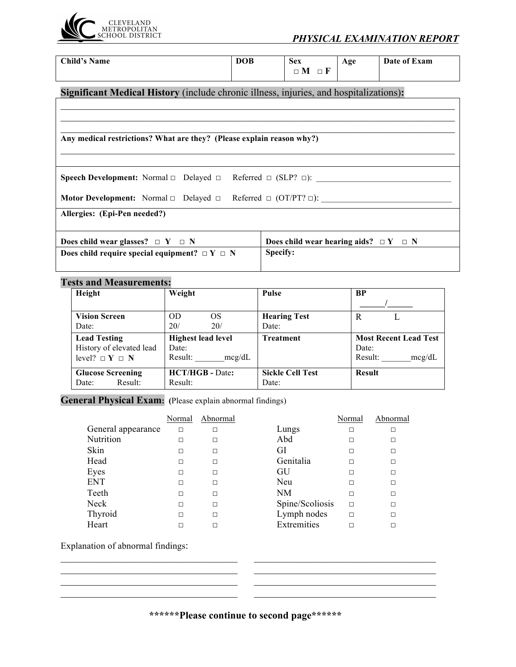

| <b>Child's Name</b>                                                                      | <b>DOB</b> | <b>Sex</b>                                    | Age | Date of Exam |
|------------------------------------------------------------------------------------------|------------|-----------------------------------------------|-----|--------------|
|                                                                                          |            | $\Box M \Box F$                               |     |              |
|                                                                                          |            |                                               |     |              |
| Significant Medical History (include chronic illness, injuries, and hospitalizations):   |            |                                               |     |              |
|                                                                                          |            |                                               |     |              |
|                                                                                          |            |                                               |     |              |
|                                                                                          |            |                                               |     |              |
| Any medical restrictions? What are they? (Please explain reason why?)                    |            |                                               |     |              |
|                                                                                          |            |                                               |     |              |
|                                                                                          |            |                                               |     |              |
| <b>Speech Development:</b> Normal $\Box$ Delayed $\Box$ Referred $\Box$ (SLP? $\Box$ ):  |            |                                               |     |              |
|                                                                                          |            |                                               |     |              |
| <b>Motor Development:</b> Normal $\Box$ Delayed $\Box$ Referred $\Box$ (OT/PT? $\Box$ ): |            |                                               |     |              |
| Allergies: (Epi-Pen needed?)                                                             |            |                                               |     |              |
|                                                                                          |            |                                               |     |              |
| Does child wear glasses? $\Box Y \Box N$                                                 |            | Does child wear hearing aids? $\Box Y \Box N$ |     |              |
|                                                                                          |            |                                               |     |              |
| Does child require special equipment? $\Box Y \Box N$                                    |            | Specify:                                      |     |              |

## **Tests and Measurements:**

| Height                                       | Weight                    | <b>Pulse</b>            | <b>BP</b>                    |
|----------------------------------------------|---------------------------|-------------------------|------------------------------|
|                                              |                           |                         |                              |
| <b>Vision Screen</b>                         | <b>OS</b><br>OD           | <b>Hearing Test</b>     | R                            |
| Date:                                        | 20/<br>20/                | Date:                   |                              |
| <b>Lead Testing</b>                          | <b>Highest lead level</b> | <b>Treatment</b>        | <b>Most Recent Lead Test</b> |
| History of elevated lead                     | Date:                     |                         | Date:                        |
| level? $\square$ <b>Y</b> $\square$ <b>N</b> | Result:<br>mcg/dL         |                         | Result:<br>mcg/dL            |
| <b>Glucose Screening</b>                     | <b>HCT/HGB - Date:</b>    | <b>Sickle Cell Test</b> | <b>Result</b>                |
| Result:<br>Date:                             | Result:                   | Date:                   |                              |

General Physical Exam: (Please explain abnormal findings)

|                    | Normal | Abnormal |                 | Normal | Abnormal |
|--------------------|--------|----------|-----------------|--------|----------|
| General appearance | $\Box$ | □        | Lungs           | П      | Г        |
| Nutrition          | $\Box$ | □        | Abd             |        | ⊏        |
| Skin               | $\Box$ | □        | GI              |        | $\Box$   |
| Head               | $\Box$ | □        | Genitalia       | п      | □        |
| Eyes               | $\Box$ | □        | GU              |        | □        |
| <b>ENT</b>         | $\Box$ | $\Box$   | Neu             | П      | П        |
| Teeth              | $\Box$ | $\Box$   | NM              | $\Box$ | □        |
| Neck               | $\Box$ | $\Box$   | Spine/Scoliosis | $\Box$ | П        |
| Thyroid            | $\Box$ | $\Box$   | Lymph nodes     | $\Box$ | П        |
| Heart              | П      | П        | Extremities     |        |          |
|                    |        |          |                 |        |          |

Explanation of abnormal findings:

**\*\*\*\*\*\*Please continue to second page\*\*\*\*\*\*** 

 $\mathcal{L}_\text{max} = \frac{1}{2} \sum_{i=1}^n \mathcal{L}_\text{max}(\mathbf{z}_i - \mathbf{z}_i)$  $\_$  , and the contribution of the contribution of  $\mathcal{L}_\mathcal{A}$  , and the contribution of  $\mathcal{L}_\mathcal{A}$  $\_$  , and the set of the set of the set of the set of the set of the set of the set of the set of the set of the set of the set of the set of the set of the set of the set of the set of the set of the set of the set of th  $\_$  , and the contribution of the contribution of  $\mathcal{L}_\mathcal{A}$  , and the contribution of  $\mathcal{L}_\mathcal{A}$